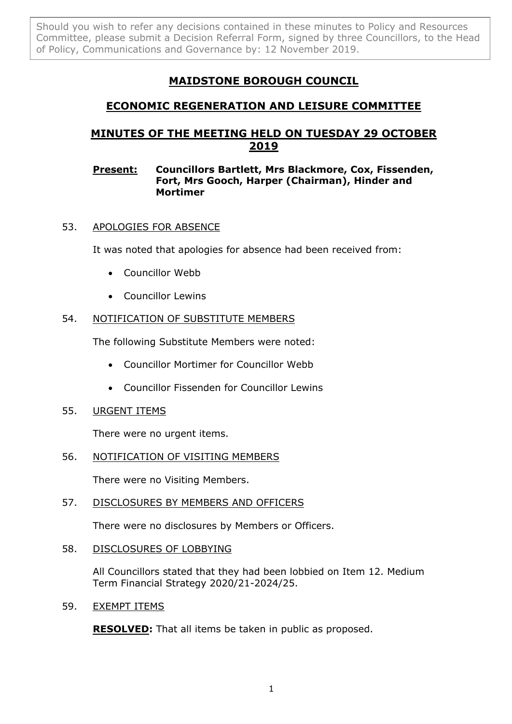Should you wish to refer any decisions contained in these minutes to Policy and Resources Committee, please submit a Decision Referral Form, signed by three Councillors, to the Head of Policy, Communications and Governance by: 12 November 2019.

# **MAIDSTONE BOROUGH COUNCIL**

## **ECONOMIC REGENERATION AND LEISURE COMMITTEE**

## **MINUTES OF THE MEETING HELD ON TUESDAY 29 OCTOBER 2019**

#### **Present: Councillors Bartlett, Mrs Blackmore, Cox, Fissenden, Fort, Mrs Gooch, Harper (Chairman), Hinder and Mortimer**

## 53. APOLOGIES FOR ABSENCE

It was noted that apologies for absence had been received from:

- Councillor Webb
- Councillor Lewins

## 54. NOTIFICATION OF SUBSTITUTE MEMBERS

The following Substitute Members were noted:

- Councillor Mortimer for Councillor Webb
- Councillor Fissenden for Councillor Lewins
- 55. URGENT ITEMS

There were no urgent items.

### 56. NOTIFICATION OF VISITING MEMBERS

There were no Visiting Members.

57. DISCLOSURES BY MEMBERS AND OFFICERS

There were no disclosures by Members or Officers.

58. DISCLOSURES OF LOBBYING

All Councillors stated that they had been lobbied on Item 12. Medium Term Financial Strategy 2020/21-2024/25.

59. EXEMPT ITEMS

**RESOLVED:** That all items be taken in public as proposed.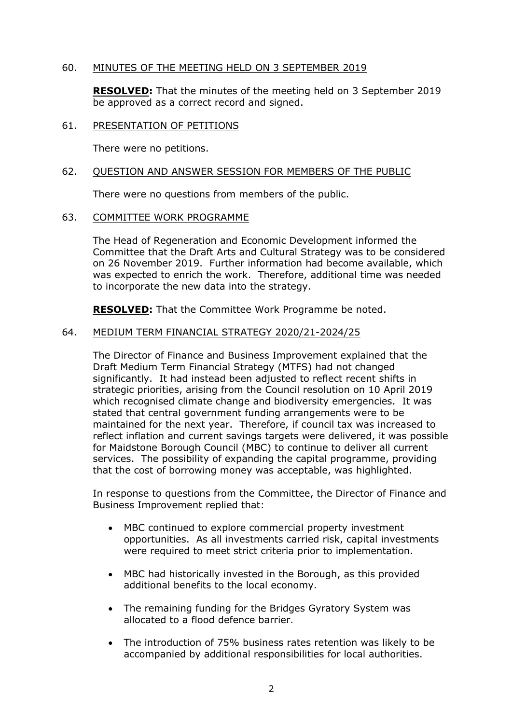#### 60. MINUTES OF THE MEETING HELD ON 3 SEPTEMBER 2019

**RESOLVED:** That the minutes of the meeting held on 3 September 2019 be approved as a correct record and signed.

#### 61. PRESENTATION OF PETITIONS

There were no petitions.

#### 62. QUESTION AND ANSWER SESSION FOR MEMBERS OF THE PUBLIC

There were no questions from members of the public.

#### 63. COMMITTEE WORK PROGRAMME

The Head of Regeneration and Economic Development informed the Committee that the Draft Arts and Cultural Strategy was to be considered on 26 November 2019. Further information had become available, which was expected to enrich the work. Therefore, additional time was needed to incorporate the new data into the strategy.

**RESOLVED:** That the Committee Work Programme be noted.

#### 64. MEDIUM TERM FINANCIAL STRATEGY 2020/21-2024/25

The Director of Finance and Business Improvement explained that the Draft Medium Term Financial Strategy (MTFS) had not changed significantly. It had instead been adjusted to reflect recent shifts in strategic priorities, arising from the Council resolution on 10 April 2019 which recognised climate change and biodiversity emergencies. It was stated that central government funding arrangements were to be maintained for the next year. Therefore, if council tax was increased to reflect inflation and current savings targets were delivered, it was possible for Maidstone Borough Council (MBC) to continue to deliver all current services. The possibility of expanding the capital programme, providing that the cost of borrowing money was acceptable, was highlighted.

In response to questions from the Committee, the Director of Finance and Business Improvement replied that:

- MBC continued to explore commercial property investment opportunities. As all investments carried risk, capital investments were required to meet strict criteria prior to implementation.
- MBC had historically invested in the Borough, as this provided additional benefits to the local economy.
- The remaining funding for the Bridges Gyratory System was allocated to a flood defence barrier.
- The introduction of 75% business rates retention was likely to be accompanied by additional responsibilities for local authorities.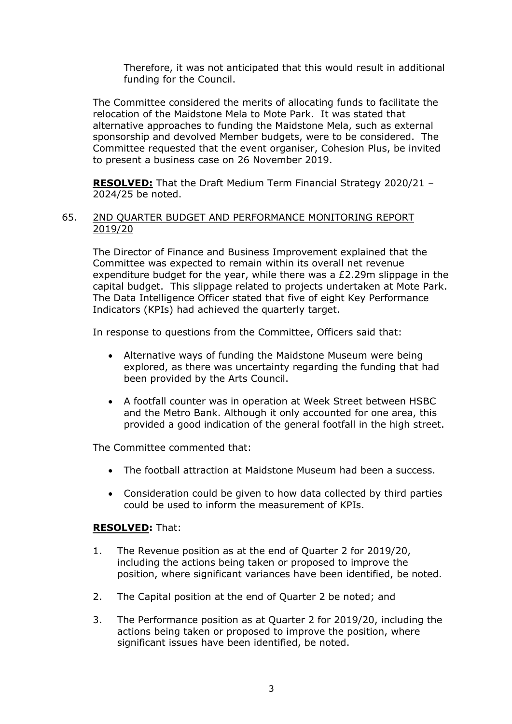Therefore, it was not anticipated that this would result in additional funding for the Council.

The Committee considered the merits of allocating funds to facilitate the relocation of the Maidstone Mela to Mote Park. It was stated that alternative approaches to funding the Maidstone Mela, such as external sponsorship and devolved Member budgets, were to be considered. The Committee requested that the event organiser, Cohesion Plus, be invited to present a business case on 26 November 2019.

**RESOLVED:** That the Draft Medium Term Financial Strategy 2020/21 – 2024/25 be noted.

#### 65. 2ND QUARTER BUDGET AND PERFORMANCE MONITORING REPORT 2019/20

The Director of Finance and Business Improvement explained that the Committee was expected to remain within its overall net revenue expenditure budget for the year, while there was a £2.29m slippage in the capital budget. This slippage related to projects undertaken at Mote Park. The Data Intelligence Officer stated that five of eight Key Performance Indicators (KPIs) had achieved the quarterly target.

In response to questions from the Committee, Officers said that:

- Alternative ways of funding the Maidstone Museum were being explored, as there was uncertainty regarding the funding that had been provided by the Arts Council.
- A footfall counter was in operation at Week Street between HSBC and the Metro Bank. Although it only accounted for one area, this provided a good indication of the general footfall in the high street.

The Committee commented that:

- The football attraction at Maidstone Museum had been a success.
- Consideration could be given to how data collected by third parties could be used to inform the measurement of KPIs.

#### **RESOLVED:** That:

- 1. The Revenue position as at the end of Quarter 2 for 2019/20, including the actions being taken or proposed to improve the position, where significant variances have been identified, be noted.
- 2. The Capital position at the end of Quarter 2 be noted; and
- 3. The Performance position as at Quarter 2 for 2019/20, including the actions being taken or proposed to improve the position, where significant issues have been identified, be noted.